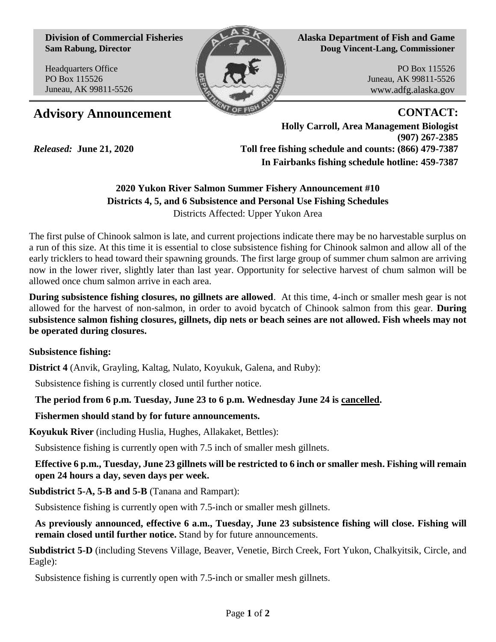**Division of Commercial Fisheries Sam Rabung, Director**

Headquarters Office PO Box 115526 Juneau, AK 99811-5526



**Alaska Department of Fish and Game Doug Vincent-Lang, Commissioner**

> PO Box 115526 Juneau, AK 99811-5526 www.adfg.alaska.gov

# Advisory Announcement **CONTACT:**

*Released:* **June 21, 2020**

**Holly Carroll, Area Management Biologist (907) 267-2385 Toll free fishing schedule and counts: (866) 479-7387 In Fairbanks fishing schedule hotline: 459-7387** 

# **2020 Yukon River Salmon Summer Fishery Announcement #10 Districts 4, 5, and 6 Subsistence and Personal Use Fishing Schedules** Districts Affected: Upper Yukon Area

The first pulse of Chinook salmon is late, and current projections indicate there may be no harvestable surplus on a run of this size. At this time it is essential to close subsistence fishing for Chinook salmon and allow all of the early tricklers to head toward their spawning grounds. The first large group of summer chum salmon are arriving now in the lower river, slightly later than last year. Opportunity for selective harvest of chum salmon will be allowed once chum salmon arrive in each area.

**During subsistence fishing closures, no gillnets are allowed**. At this time, 4-inch or smaller mesh gear is not allowed for the harvest of non-salmon, in order to avoid bycatch of Chinook salmon from this gear. **During subsistence salmon fishing closures, gillnets, dip nets or beach seines are not allowed. Fish wheels may not be operated during closures.**

## **Subsistence fishing:**

**District 4** (Anvik, Grayling, Kaltag, Nulato, Koyukuk, Galena, and Ruby):

Subsistence fishing is currently closed until further notice.

# **The period from 6 p.m. Tuesday, June 23 to 6 p.m. Wednesday June 24 is cancelled.**

## **Fishermen should stand by for future announcements.**

**Koyukuk River** (including Huslia, Hughes, Allakaket, Bettles):

Subsistence fishing is currently open with 7.5 inch of smaller mesh gillnets.

**Effective 6 p.m., Tuesday, June 23 gillnets will be restricted to 6 inch or smaller mesh. Fishing will remain open 24 hours a day, seven days per week.**

**Subdistrict 5-A, 5-B and 5-B** (Tanana and Rampart):

Subsistence fishing is currently open with 7.5-inch or smaller mesh gillnets.

**As previously announced, effective 6 a.m., Tuesday, June 23 subsistence fishing will close. Fishing will remain closed until further notice.** Stand by for future announcements.

**Subdistrict 5-D** (including Stevens Village, Beaver, Venetie, Birch Creek, Fort Yukon, Chalkyitsik, Circle, and Eagle):

Subsistence fishing is currently open with 7.5-inch or smaller mesh gillnets.